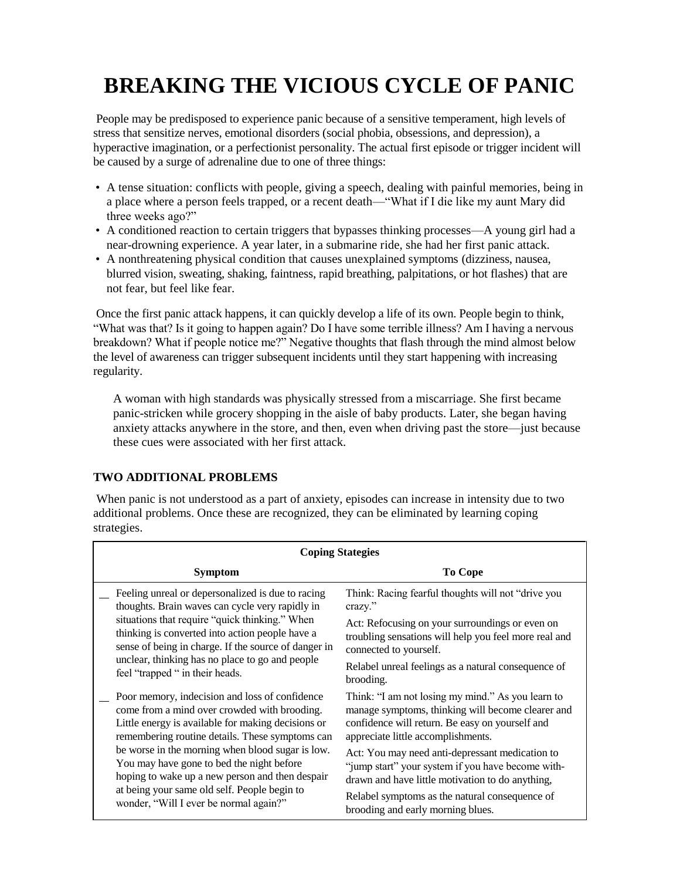## **BREAKING THE VICIOUS CYCLE OF PANIC**

People may be predisposed to experience panic because of a sensitive temperament, high levels of stress that sensitize nerves, emotional disorders (social phobia, obsessions, and depression), a hyperactive imagination, or a perfectionist personality. The actual first episode or trigger incident will be caused by a surge of adrenaline due to one of three things:

- A tense situation: conflicts with people, giving a speech, dealing with painful memories, being in a place where a person feels trapped, or a recent death—"What if I die like my aunt Mary did three weeks ago?"
- A conditioned reaction to certain triggers that bypasses thinking processes—A young girl had a near-drowning experience. A year later, in a submarine ride, she had her first panic attack.
- A nonthreatening physical condition that causes unexplained symptoms (dizziness, nausea, blurred vision, sweating, shaking, faintness, rapid breathing, palpitations, or hot flashes) that are not fear, but feel like fear.

Once the first panic attack happens, it can quickly develop a life of its own. People begin to think, "What was that? Is it going to happen again? Do I have some terrible illness? Am I having a nervous breakdown? What if people notice me?" Negative thoughts that flash through the mind almost below the level of awareness can trigger subsequent incidents until they start happening with increasing regularity.

A woman with high standards was physically stressed from a miscarriage. She first became panic-stricken while grocery shopping in the aisle of baby products. Later, she began having anxiety attacks anywhere in the store, and then, even when driving past the store—just because these cues were associated with her first attack.

## **TWO ADDITIONAL PROBLEMS**

When panic is not understood as a part of anxiety, episodes can increase in intensity due to two additional problems. Once these are recognized, they can be eliminated by learning coping strategies.

| <b>Coping Stategies</b>                                                                                                                                                                                                                                                                                                                                 |                                                                                                                                                                                                 |
|---------------------------------------------------------------------------------------------------------------------------------------------------------------------------------------------------------------------------------------------------------------------------------------------------------------------------------------------------------|-------------------------------------------------------------------------------------------------------------------------------------------------------------------------------------------------|
| <b>Symptom</b>                                                                                                                                                                                                                                                                                                                                          | <b>To Cope</b>                                                                                                                                                                                  |
| Feeling unreal or depersonalized is due to racing<br>thoughts. Brain waves can cycle very rapidly in<br>situations that require "quick thinking." When<br>thinking is converted into action people have a<br>sense of being in charge. If the source of danger in<br>unclear, thinking has no place to go and people<br>feel "trapped " in their heads. | Think: Racing fearful thoughts will not "drive you<br>crazy."                                                                                                                                   |
|                                                                                                                                                                                                                                                                                                                                                         | Act: Refocusing on your surroundings or even on<br>troubling sensations will help you feel more real and<br>connected to yourself.                                                              |
|                                                                                                                                                                                                                                                                                                                                                         | Relabel unreal feelings as a natural consequence of<br>brooding.                                                                                                                                |
| Poor memory, indecision and loss of confidence<br>come from a mind over crowded with brooding.<br>Little energy is available for making decisions or<br>remembering routine details. These symptoms can                                                                                                                                                 | Think: "I am not losing my mind." As you learn to<br>manage symptoms, thinking will become clearer and<br>confidence will return. Be easy on yourself and<br>appreciate little accomplishments. |
| be worse in the morning when blood sugar is low.<br>You may have gone to bed the night before<br>hoping to wake up a new person and then despair<br>at being your same old self. People begin to<br>wonder, "Will I ever be normal again?"                                                                                                              | Act: You may need anti-depressant medication to<br>"jump start" your system if you have become with-<br>drawn and have little motivation to do anything,                                        |
|                                                                                                                                                                                                                                                                                                                                                         | Relabel symptoms as the natural consequence of<br>brooding and early morning blues.                                                                                                             |